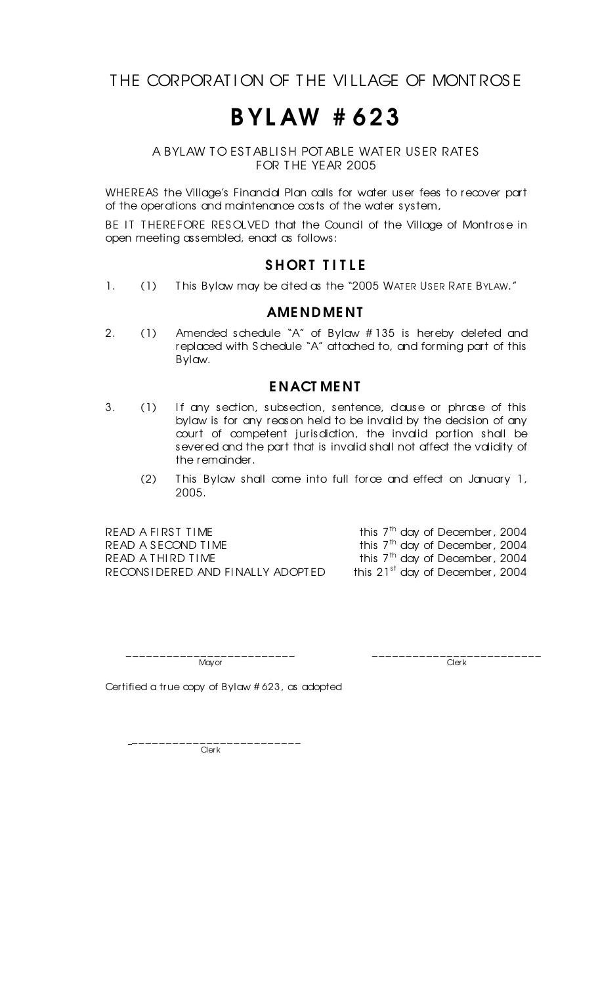THE CORPORATION OF THE VILLAGE OF MONTROSE

## B YL AW # 623

A BYLAW TO ESTABLISH POTABLE WATER USER RATES FOR THE YEAR 2005

WHEREAS the Village's Financial Plan calls for water user fees to recover part of the operations and maintenance costs of the water system,

BE IT THEREFORE RESOLVED that the Council of the Village of Montrose in open meeting assembled, enact as follows:

### SHORT TITLE

1. (1) This Bylaw may be cited as the "2005 WATER USER RATE BYLAW."

#### AME NDME NT

2. (1) Amended schedule "A" of Bylaw # 135 is hereby deleted and replaced with S chedule "A" attached to, and forming part of this Bylaw.

#### E NACT ME NT

- 3. (1) If any section, subsection, sentence, dause or phrase of this bylaw is for any reason held to be invalid by the decision of any court of competent jurisdiction, the invalid portion shall be severed and the part that is invalid shall not affect the validity of the remainder.
	- (2) T his Bylaw shall come into full force and effect on January 1, 2005.

READ A FIRST TIME READ A SECOND TIME READ A THIRD TIME RECONSIDERED AND FINALLY ADOPTED this 21<sup>st</sup> day of December, 2004

this  $7<sup>th</sup>$  day of December, 2004 this 7<sup>th</sup> day of December, 2004 this  $7<sup>th</sup>$  day of December, 2004

\_\_\_\_\_\_\_\_\_\_\_\_\_\_\_\_\_\_\_\_\_\_\_\_\_ \_\_\_\_\_\_\_\_\_\_\_\_\_\_\_\_\_\_\_\_\_\_\_\_\_ Mayor Clerk (1999) and the contract of the contract of the contract of the contract of the contract of the contract of the contract of the contract of the contract of the contract of the contract of the contract of the con

Certified a true copy of Bylaw # 623, as adopted

\_\_\_\_\_\_\_\_\_\_\_\_\_\_\_\_\_\_\_\_\_\_\_\_\_ **Clerk**